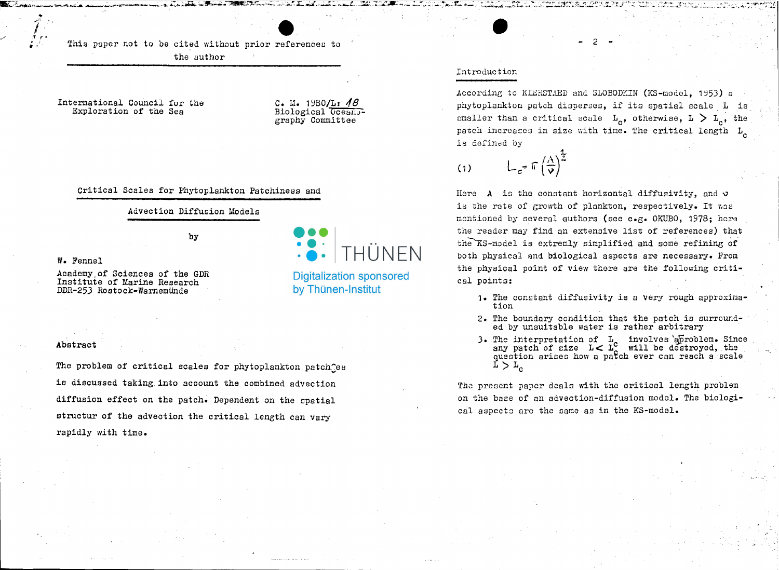This paper not to be cited without prior references to the author

International Council for the Exploration of the Sea

C. M. 1980/L:  $AB$ Biological Oceanography Committee

THUNFN

**Digitalization sponsored** 

by Thünen-Institut

Critical Scales for Phytoplankton Patchiness and

### Advection Diffusion Models

by

W. Fennel

Academy of Sciences of the GDR Institute of Marine Research DDR-253 Rostock-Warnemünde

#### Abstract

The problem of critical scales for phytoplankton patch es is discussed taking into account the combined advection diffusion effect on the patch. Dependent on the spatial structur of the advection the critical length can vary rapidly with time.

# Introduction

According to KIERSTAED and SLOBODKIN (KS-model, 1953) a phytoplankton patch disperses, if its spatial scale L is smaller than a critical scale  $L_{\alpha}$ , otherwise,  $L > L_{\alpha}$ , the patch increases in size with time. The critical length  $L_{\alpha}$ is defined by

 $L_c = \pi \left(\frac{A}{V}\right)^2$  $(1)$ 

Here A is the constant horizontal diffusivity, and  $\upsilon$ is the rate of growth of plankton, respectively. It was mentioned by several authors (see e.g. OKUBO, 1978; here the reader may find an extensive list of references) that the KS-model is extremly simplified and some refining of both physical and biological aspects are necessary. From the physical point of view there are the following critical points:

- 1. The constant diffusivity is a very rough approximation
- 2. The boundary condition that the patch is surrounded by unsuitable water is rather arbitrary
- 3. The interpretation of L<sub>c</sub> involves epiroblem. Since any patch of size  $L < L_c$  will be destroyed, the question arises how a patch ever can reach a scale  $r > r^{\circ}$

The present paper deals with the critical length problem on the base of an advection-diffusion model. The biological aspects are the same as in the KS-model.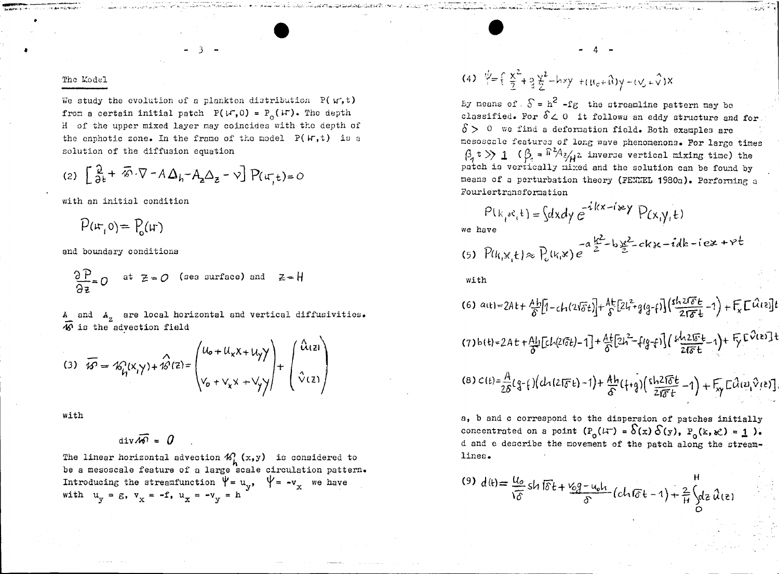### The Model

We study the evolution of a plankton distribution  $P(W, t)$ from a certain initial patch  $P(W, 0) = P_0(W)$ . The depth H of the upper mixed layer may coincides with the depth of the enphotic zone. In the frame of the model  $P(W, t)$  is a solution of the diffusion equation

$$
(2)\ \left[\frac{\partial}{\partial t}+\overline{\mathcal{L}}\cdot\nabla-A\Delta_{h}-A_{z}\Delta_{z}-\nu\right]P(\mathfrak{u}_{,t})=0
$$

with an initial condition

 $P(\mathfrak{u},0) = P(\mathfrak{u})$ 

and boundary conditions

$$
\frac{\partial P}{\partial z} = 0 \quad \text{at } z = 0 \quad \text{(see surface) and } z = H
$$

A and  $A_z$  are local horizontal and vertical diffusivities.<br> $\overline{40}$  is the advection field

(3) 
$$
\overline{\mathcal{W}} = \mathcal{R}_{h}^{0}(x, y) + \hat{\mathcal{W}}(z) = \begin{pmatrix} u_{0} + u_{x}x + u_{y}y \\ v_{0} + v_{x}x + v_{y}y \end{pmatrix} + \begin{pmatrix} \hat{u}_{1}z \\ \hat{v}_{1}z \end{pmatrix}
$$

with

$$
\mathbf{div}\overline{\mathbf{w}} = \mathbf{0}
$$

The linear horizontal advection  $\mathcal{U}_h$  (x, y) is considered to<br>be a mesoscale feature of a large scale circulation pattern. Introducing the streamfunction  $\Psi = u_v$ ,  $\Psi = -v_x$  we have with  $u_y = g$ ,  $v_y = -f$ ,  $u_y = -v_y = h$ 

(4) 
$$
\psi = \left( \frac{x^2}{2} + 3 \frac{y^2}{2} - hxy + (u_0 + \hat{u})y - (v_0 + \hat{v})x \right)
$$

By means of  $S = h^2 - fg$  the streamline pattern may be classified. For  $\delta \geq 0$  it follows an eddy structure and for  $\delta$  > 0 we find a deformation field. Both examples are mesoscale features of long wave phenomenons. For large times  $\beta_1$  t >> 1 ( $\beta_2$  =  $\frac{\pi^2 A_2}{\pi^2}$  inverse vertical mixing time) the patch is vertically nixed and the solution can be found by means of a perturbation theory (FENEL 1980a). Performing a Fouriertransformation

$$
P(k_i s e_i t) = \int dx dy e^{-i(kx - i\omega t)} P(x_i y_i t)
$$
\nwe have\n
$$
-a \frac{k^2}{2} - b \frac{k^2}{2} - ckx - idk - i e x + c
$$

(5) 
$$
P(k_1x_1t) \approx P_c(k_1x) e^{-a \frac{x_1}{2} - b \frac{x_2}{2} - ck_1x - 1}
$$

4م،

with

(6) 
$$
a(t) = 2At + \frac{Ab}{\delta} \left[ 1 - ch(2\sqrt{\delta}t) \right] + \frac{At}{\delta} \left[ 2L^2 + g(g-f) \right] \left( \frac{sh(2\sqrt{\delta}t)}{2\sqrt{\delta}t} - 1 \right) + F_x \left[ \mathcal{L}(12)\right] t
$$
  
\n(7)  $b(t) = 2At + \frac{Ab}{\delta} \left[ ch(2\sqrt{\delta}t) - 1 \right] + \frac{At}{\delta} \left[ 2h^2 - \left\{ (g-f) \right\} \left( \frac{sh(2\sqrt{\delta}t)}{2\sqrt{\delta}t} - 1 \right) + F_y \left[ \mathcal{L}(2\sqrt{\delta}t) \right] +$   
\n(8)  $c(t) = \frac{A}{2\delta} (g - \left\{ \right\} \left( ch(2\sqrt{\delta}t) - 1 \right) + \frac{Ah}{\delta} \left( \left\{ + g \right\} \left( \frac{sh(2\sqrt{\delta}t)}{2\sqrt{\delta}t} - 1 \right) + F_y \left[ \mathcal{L}(12\sqrt{\delta}t) \right] \right)$ 

a, b and c correspond to the dispersion of patches initially concentrated on a point  $(P_0(\mu^-) = \delta(x) \delta(y), P_0(k, x^2) = 1$ . d and e describe the movement of the patch along the streamlines.

(9) 
$$
d(t) = \frac{u_0}{\sqrt{\delta}} \sin \sqrt{\delta} t + \frac{v_0 q - u_0 l_1}{\delta} (c l_1 \sqrt{\delta} t - 1) + \frac{2}{H} \int_C dz \, \hat{u}(z)
$$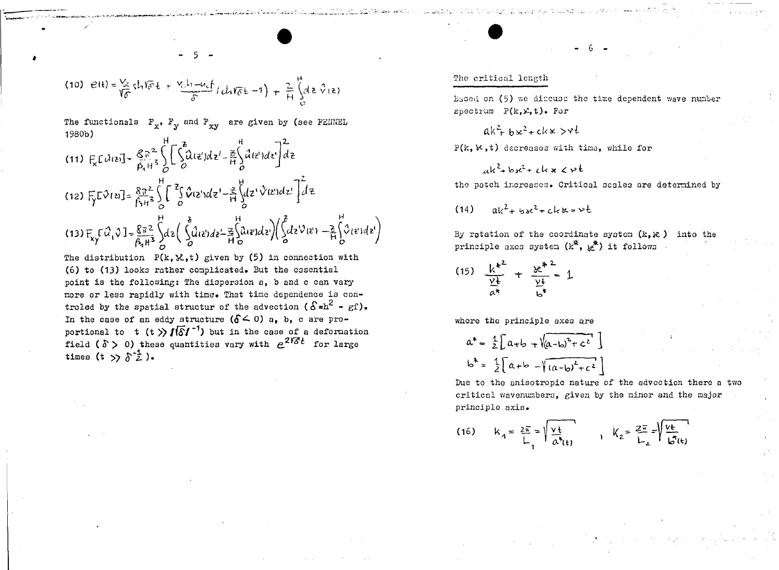(10) 
$$
e(t) = \frac{V_2}{V_0} \text{th} \overline{V_0} t + \frac{V_0 I_1 - U_0 f}{\delta} (L_1 V_0 t - 1) + \frac{2}{H} \int_0^H (d\epsilon \sqrt{v_1} \epsilon)
$$

The functionals  $F_x$ ,  $F_y$  and  $F_{xy}$  are given by (see FEINEL 1980b)

(11) 
$$
F_x L \lambda(z) = \frac{g_0^2}{\beta_1 H^3} \int_0^1 \left[ \int_0^2 \hat{\lambda}(z') dz' - \frac{z}{H} \int_0^H \hat{\lambda}(z') dz' \right] dz
$$
  
\n(12)  $F_y L \lambda(z) = \frac{g_0 z}{\beta_1 H^3} \int_0^H \int_0^2 \hat{\lambda}(z') dz' - \frac{z}{H} \int_0^H dz' \lambda(z') dz' \int_0^2 dz$   
\n(13)  $F_y L \hat{\lambda}(z) = \frac{g_0 z}{\beta_1 H^3} \int_0^L z \left( \int_0^2 \hat{\mu}(z') dz' - \frac{z}{H} \int_0^H \hat{\mu}(z') dz' \right) \left( \int_0^2 dz' \lambda(z') - \frac{z}{H} \int_0^H \hat{\lambda}(z') dz' \right)$ 

The distribution  $P(k, \mathcal{X}, t)$  given by (5) in connection with (6) to (13) looks rather complicated. But the essential point is the following: The dispersion a, b and c can vary more or less rapidly with time. That time dependence is controled by the spatial structur of the advection ( $\delta = h^2 - g f$ ). In the case of an eddy structure  $(\delta \le 0)$  a, b, c are proportional to t  $(t)$   $\sqrt{5}$   $t^{-1}$  but in the case of a deformation field ( $\delta$ ) 0) these quantities vary with  $e^{2i\delta t}$  for large times  $(t \gt\hat{\delta}^2)$ .

## The critical length

Eased on (5) we discuss the time dependent wave number spectrum  $P(k, x, t)$ . For

$$
ak^2 + bx^2 + ck \times y + b
$$

 $P(k, k, t)$  decreases with time, while for

$$
ak^2+bs^2+ckx
$$
  $c\nu^2$ 

the patch increases. Critical scales are determined by

 $ak^2+bx^2+ckx=vt$  $(14)$ 

By rotation of the coordinate system  $(k, k)$  into the principle axes system  $(k^*, k^*)$  it follows

(15) 
$$
\frac{k^{*2}}{\frac{\gamma+1}{\alpha^{*}}} + \frac{k^{*2}}{\frac{\gamma+1}{\alpha^{*}}} \cdot 1
$$

where the principle axes are

$$
a^* = \frac{1}{2} \left[ a+b + \sqrt{(a-b)^2 + c^2} \right]
$$
  

$$
b^* = \frac{1}{2} \left[ a+b - \sqrt{(a-b)^2 + c^2} \right]
$$

Due to the anisotropic nature of the advection there a two critical wavenumbers, given by the minor and the major principle axis.

(16) 
$$
k_1 = \frac{2\pi}{L_1} = \sqrt{\frac{v_t}{a^*}(t)}
$$
  $k_2 = \frac{2\pi}{L_2} = \sqrt{\frac{v_t}{b^*}(t)}$